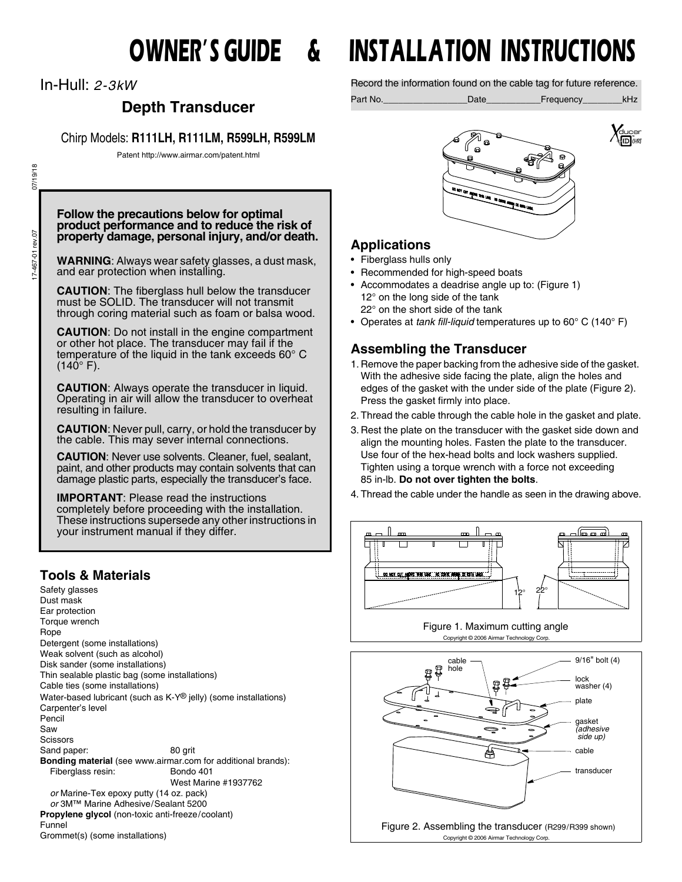In-Hull: *2-3kW*

# **Depth Transducer**

Chirp Models: **R111LH, R111LM, R599LH, R599LM**

Patent http://www.airmar.com/patent.html

07/19/18 17-467-01 rev.07 07/19/18 17-467-01 rev.07

#### **Follow the precautions below for optimal product performance and to reduce the risk of property damage, personal injury, and/or death.**

**WARNING**: Always wear safety glasses, a dust mask, and ear protection when installing.

**CAUTION**: The fiberglass hull below the transducer must be SOLID. The transducer will not transmit through coring material such as foam or balsa wood.

**CAUTION**: Do not install in the engine compartment or other hot place. The transducer may fail if the temperature of the liquid in the tank exceeds 60° C  $(140^{\circ} \text{ F}).$ 

**CAUTION:** Always operate the transducer in liquid. Operating in air will allow the transducer to overheat resulting in failure.

**CAUTION**: Never pull, carry, or hold the transducer by the cable. This may sever internal connections.

**CAUTION**: Never use solvents. Cleaner, fuel, sealant, paint, and other products may contain solvents that can damage plastic parts, especially the transducer's face.

**IMPORTANT**: Please read the instructions completely before proceeding with the installation. These instructions supersede any other instructions in your instrument manual if they differ.

# **Tools & Materials**

Safety glasses Dust mask Ear protection Torque wrench Rope Detergent (some installations) Weak solvent (such as alcohol) Disk sander (some installations) Thin sealable plastic bag (some installations) Cable ties (some installations) Water-based lubricant (such as K-Y® jelly) (some installations) Carpenter's level Pencil Saw Scissors Sand paper: 80 grit **Bonding material** (see www.airmar.com for additional brands): Fiberglass resin: Bondo 401 West Marine #1937762 *or* Marine-Tex epoxy putty (14 oz. pack) *or* 3M™ Marine Adhesive/Sealant 5200 **Propylene glycol** (non-toxic anti-freeze/coolant) Funnel Grommet(s) (some installations)

# **OWNER'S GUIDE & INSTALLATION INSTRUCTIONS**

Record the information found on the cable tag for future reference.

Part No.\_\_\_\_\_\_\_\_\_\_\_\_\_\_\_\_\_Date\_\_\_\_\_\_\_\_\_\_\_Frequency\_\_\_\_\_\_\_\_kHz





- Fiberglass hulls only
- Recommended for high-speed boats
- Accommodates a deadrise angle up to: (Figure 1) 12° on the long side of the tank 22° on the short side of the tank
- Operates at *tank fill-liquid* temperatures up to 60° C (140° F)

*<u>ANE IN LIE</u>* IS ONE

# **Assembling the Transducer**

- 1. Remove the paper backing from the adhesive side of the gasket. With the adhesive side facing the plate, align the holes and edges of the gasket with the under side of the plate (Figure 2). Press the gasket firmly into place.
- 2. Thread the cable through the cable hole in the gasket and plate.
- 3. Rest the plate on the transducer with the gasket side down and align the mounting holes. Fasten the plate to the transducer. Use four of the hex-head bolts and lock washers supplied. Tighten using a torque wrench with a force not exceeding 85 in-lb. **Do not over tighten the bolts**.
- 4. Thread the cable under the handle as seen in the drawing above.

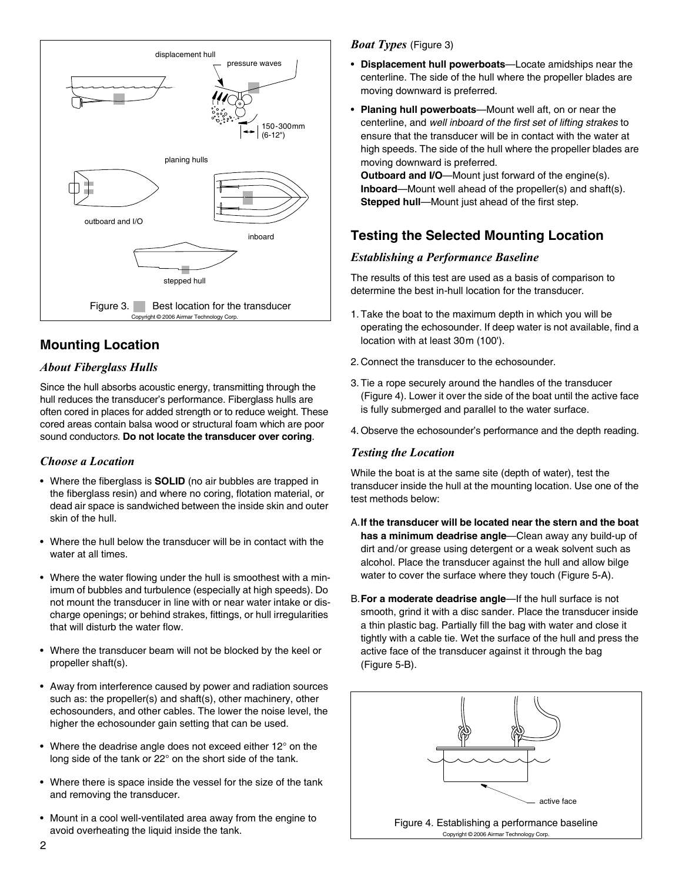

# **Mounting Location**

## *About Fiberglass Hulls*

Since the hull absorbs acoustic energy, transmitting through the hull reduces the transducer's performance. Fiberglass hulls are often cored in places for added strength or to reduce weight. These cored areas contain balsa wood or structural foam which are poor sound conductor*s*. **Do not locate the transducer over coring**.

## *Choose a Location*

- Where the fiberglass is **SOLID** (no air bubbles are trapped in the fiberglass resin) and where no coring, flotation material, or dead air space is sandwiched between the inside skin and outer skin of the hull.
- Where the hull below the transducer will be in contact with the water at all times.
- Where the water flowing under the hull is smoothest with a minimum of bubbles and turbulence (especially at high speeds). Do not mount the transducer in line with or near water intake or discharge openings; or behind strakes, fittings, or hull irregularities that will disturb the water flow.
- Where the transducer beam will not be blocked by the keel or propeller shaft(s).
- Away from interference caused by power and radiation sources such as: the propeller(s) and shaft(s), other machinery, other echosounders, and other cables. The lower the noise level, the higher the echosounder gain setting that can be used.
- Where the deadrise angle does not exceed either 12° on the long side of the tank or 22° on the short side of the tank.
- Where there is space inside the vessel for the size of the tank and removing the transducer.
- Mount in a cool well-ventilated area away from the engine to avoid overheating the liquid inside the tank.

# *Boat Types* (Figure 3)

- **Displacement hull powerboats**—Locate amidships near the centerline. The side of the hull where the propeller blades are moving downward is preferred.
- **Planing hull powerboats**—Mount well aft, on or near the centerline, and *well inboard of the first set of lifting strakes* to ensure that the transducer will be in contact with the water at high speeds. The side of the hull where the propeller blades are moving downward is preferred.

**Outboard and I/O**—Mount just forward of the engine(s). **Inboard**—Mount well ahead of the propeller(s) and shaft(s). **Stepped hull**—Mount just ahead of the first step.

# **Testing the Selected Mounting Location**

# *Establishing a Performance Baseline*

The results of this test are used as a basis of comparison to determine the best in-hull location for the transducer.

- 1. Take the boat to the maximum depth in which you will be operating the echosounder. If deep water is not available, find a location with at least 30m (100').
- 2. Connect the transducer to the echosounder.
- 3. Tie a rope securely around the handles of the transducer (Figure 4). Lower it over the side of the boat until the active face is fully submerged and parallel to the water surface.
- 4. Observe the echosounder's performance and the depth reading.

## *Testing the Location*

While the boat is at the same site (depth of water), test the transducer inside the hull at the mounting location. Use one of the test methods below:

- A.**If the transducer will be located near the stern and the boat has a minimum deadrise angle**—Clean away any build-up of dirt and/or grease using detergent or a weak solvent such as alcohol. Place the transducer against the hull and allow bilge water to cover the surface where they touch (Figure 5-A).
- B.**For a moderate deadrise angle**—If the hull surface is not smooth, grind it with a disc sander. Place the transducer inside a thin plastic bag. Partially fill the bag with water and close it tightly with a cable tie. Wet the surface of the hull and press the active face of the transducer against it through the bag (Figure 5-B).

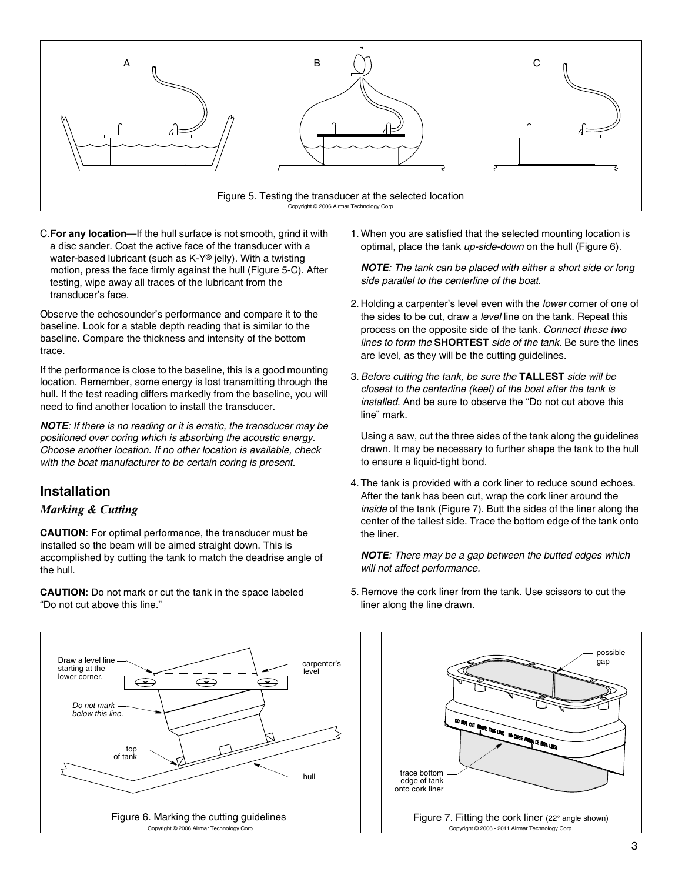

C.**For any location**—If the hull surface is not smooth, grind it with a disc sander. Coat the active face of the transducer with a water-based lubricant (such as K-Y® jelly). With a twisting motion, press the face firmly against the hull (Figure 5-C). After testing, wipe away all traces of the lubricant from the transducer's face.

Observe the echosounder's performance and compare it to the baseline. Look for a stable depth reading that is similar to the baseline. Compare the thickness and intensity of the bottom trace.

If the performance is close to the baseline, this is a good mounting location. Remember, some energy is lost transmitting through the hull. If the test reading differs markedly from the baseline, you will need to find another location to install the transducer.

*NOTE: If there is no reading or it is erratic, the transducer may be positioned over coring which is absorbing the acoustic energy. Choose another location. If no other location is available, check with the boat manufacturer to be certain coring is present.*

# **Installation**

## *Marking & Cutting*

**CAUTION**: For optimal performance, the transducer must be installed so the beam will be aimed straight down. This is accomplished by cutting the tank to match the deadrise angle of the hull.

**CAUTION**: Do not mark or cut the tank in the space labeled "Do not cut above this line."

1. When you are satisfied that the selected mounting location is optimal, place the tank *up-side-down* on the hull (Figure 6).

*NOTE: The tank can be placed with either a short side or long side parallel to the centerline of the boat.*

- 2. Holding a carpenter's level even with the *lower* corner of one of the sides to be cut, draw a *level* line on the tank. Repeat this process on the opposite side of the tank. *Connect these two lines to form the* **SHORTEST** *side of the tank.* Be sure the lines are level, as they will be the cutting guidelines.
- 3. *Before cutting the tank, be sure the* **TALLEST** *side will be closest to the centerline (keel) of the boat after the tank is installed*. And be sure to observe the "Do not cut above this line" mark.

Using a saw, cut the three sides of the tank along the guidelines drawn. It may be necessary to further shape the tank to the hull to ensure a liquid-tight bond.

4. The tank is provided with a cork liner to reduce sound echoes. After the tank has been cut, wrap the cork liner around the *inside* of the tank (Figure 7). Butt the sides of the liner along the center of the tallest side. Trace the bottom edge of the tank onto the liner.

*NOTE: There may be a gap between the butted edges which will not affect performance.*

5. Remove the cork liner from the tank. Use scissors to cut the liner along the line drawn.